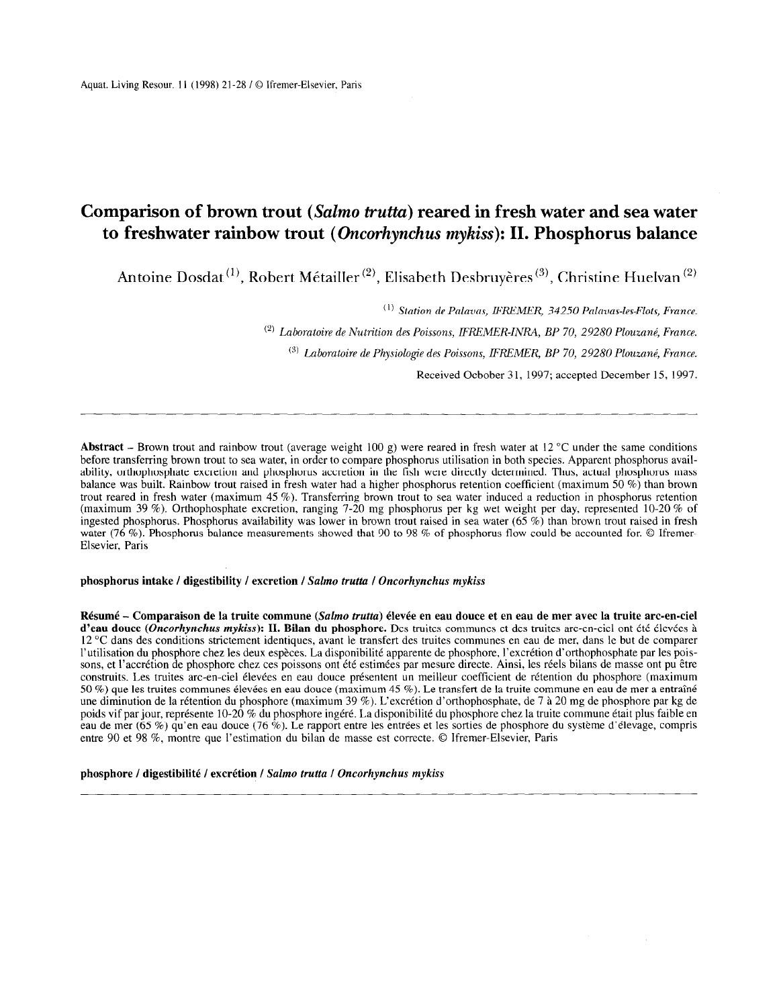# Comparison of brown trout (Salmo trutta) reared in fresh water and sea water to freshwater rainbow trout (Oncorhynchus mykiss): II. Phosphorus balance

Antoine Dosdat<sup>(1)</sup>, Robert Métailler<sup>(2)</sup>, Elisabeth Desbruyères<sup>(3)</sup>, Christine Huelvan<sup>(2)</sup>

 $(1)$  Station de Palavas, IFREMER, 34250 Palavas-les-Flots, France.

 $^{(2)}$  Laboratoire de Nutrition des Poissons, IFREMER-INRA, BP 70, 29280 Plouzané, France.

 $^{(3)}$  Laboratoire de Physiologie des Poissons, IFREMER, BP 70, 29280 Plouzané, France.

Received Ocbober 31, 1997; accepted December 15, 1997.

Abstract – Brown trout and rainbow trout (average weight 100 g) were reared in fresh water at 12 °C under the same conditions before transferring brown trout to sea water, in order to compare phosphorus utilisation in both species. Apparent phosphorus availability, orthophosphate excretion and phosphorus accretion in the fish were directly determined. Thus, actual phosphorus mass balance was built. Rainbow trout raised in fresh water had a higher phosphorus retention coefficient (maximum 50 %) than brown trout reared in fresh water (maximum 45 %). Transferring brown trout to sea water induced a reduction in phosphorus retention (maximum 39 %). Orthophosphate excretion, ranging 7-20 mg phosphorus per kg wet weight per day, represented 10-20 % of ingested phosphorus. Phosphorus availability was lower in brown trout raised in sea water (65 %) than brown trout raised in fresh water (76 %). Phosphorus balance measurements showed that 90 to 98 % of phosphorus flow could be accounted for. © Ifremer-Elsevier. Paris

# phosphorus intake / digestibility / excretion / Salmo trutta / Oncorhynchus mykiss

Résumé - Comparaison de la truite commune (Salmo trutta) élevée en eau douce et en eau de mer avec la truite arc-en-ciel d'eau douce (Oncorhynchus mykiss): II. Bilan du phosphore. Des truites communes et des truites arc-en-ciel ont été élevées à 12 "C dans des conditions strictement identiques, avant le transfert des truites communes en eau de mer, dans le but de comparer l'utilisation du phosphore chez les deux espèces. La disponibilité apparente de phosphore, l'excrétion d'orthophosphate par les poissons, et l'accrétion de phosphore chez ces poissons ont été estimées par mesure directe. Ainsi, les réels bilans de masse ont pu être construits. Les truites arc-en-ciel élevées en eau douce présentent un meilleur coefficient de rétention du phosphore (maximum 50 %) que les truites communes élevées en eau douce (maximum 45 %). Le transfert de la truite commune en eau de mer a entraîné une diminution de la rétention du phosphore (maximum 39 %). L'excrétion d'orthophosphate, de 7 à 20 mg de phosphore par kg de poids vif par jour, représente 10-20 % du phosphore ingéré. La disponibilité du phosphore chez la truite commune était plus faible en eau de mer (65 %) qu'en eau douce (76 %). Le rapport entre les entrées et les sorties de phosphore du système d'élevage, compris entre 90 et 98 %, montre que l'estimation du bilan de masse est correcte. 0 Ifremer-Elsevier, Paris

#### phosphore / digestibilité / excrétion / Salmo trutta / Oncorhynchus mykiss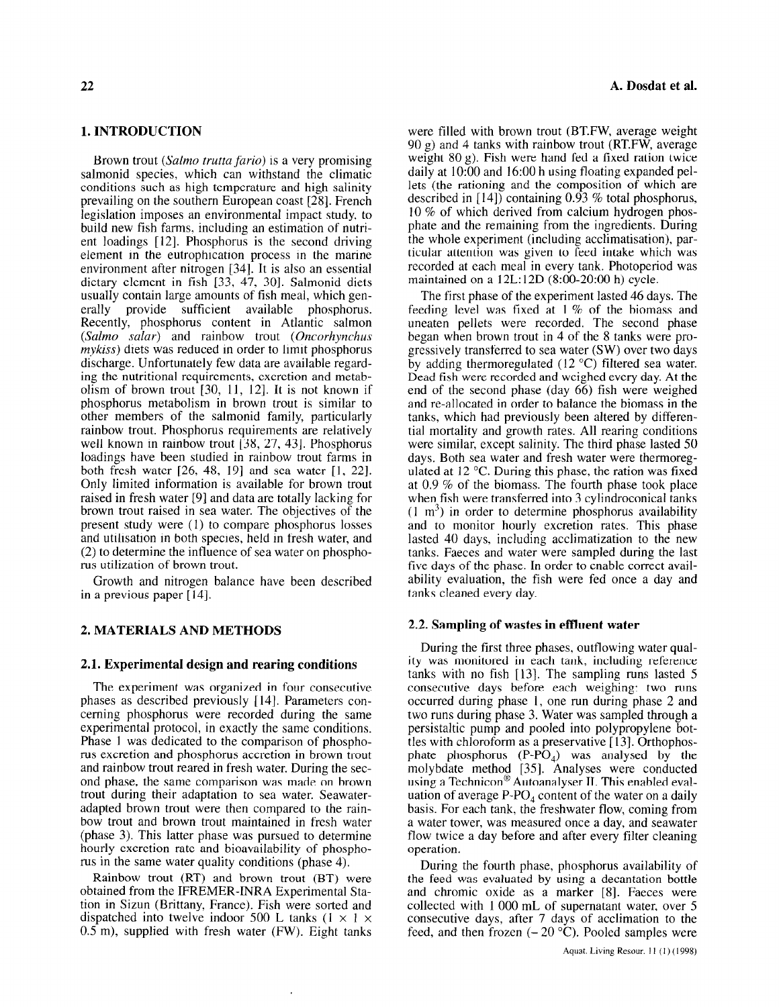#### 1. INTRODUCTION

Brown trout (Salmo trutta fario) is a very promising salmonid species, which can withstand the climatic conditions such as high temperature and high salinity prevailing on the southern European coast [28]. French legislation imposes an environmental impact study, to build new fish farms, including an estimation of nutrient loadings [12]. Phosphorus is the second driving element in the eutrophication process in the marine environment after nitrogen [34]. It is also an essential dietary element in fish [33, 47, 301. Salmonid diets usually contain large amounts of fish meal, which generally provide sufficient available phosphorus. Recently, phosphorus content in Atlantic salmon (Salmo salar) and rainbow trout (Oncorhynchus  $m\nu$ kiss) diets was reduced in order to limit phosphorus discharge. Unfortunately few data are available regarding the nutritional requirements, excretion and metabolism of brown trout  $[30, 11, 12]$ . It is not known if phosphorus metabolism in brown trout is similar to other members of the salmonid family, particularly rainbow trout. Phosphorus requirements are relatively well known in rainbow trout [38, 27, 43]. Phosphorus loadings have been studied in rainbow trout farms in both fresh water  $[26, 48, 19]$  and sea water  $[1, 22]$ . Only limited information is available for brown trout raised in fresh water [9] and data are totally lacking for brown trout raised in sea water. The objectives of the present study were (1) to compare phosphorus losses and utilisation in both species, held in fresh water, and (2) to determine the influence of sea water on phosphorus utilization of brown trout.

Growth and nitrogen balance have been described in a previous paper  $[14]$ .

# 2. MATERIALS AND METHODS

#### 2.1. Experimental design and rearing conditions

The experiment was organized in four consecutive phases as described previously [141. Parameters con- $\mu$  phases as described previously  $\mu$ + $\mu$ , raialiteteis conexperimental protocol, in exactly the same conditions. experimental protocol, in exactly the same conditions Phase 1 was dedicated to the comparison of phosphorus excretion and phosphorus accretion in brown trout. and rainbow trout reared in fresh water. During the second phase, the same comparison was made on brown trout during their adaptation to sea water. Seawateradapted brown trout were then compared to the rainbow trout and brown trout maintained in fresh water (phase 3). This latter phase was pursued to determine hourly excretion rate and bioavailability of phosphorus in the same water quality conditions (phase 4).

 $R_{\text{max}}$  and  $R_{\text{max}}$  and  $R_{\text{max}}$  were  $R_{\text{max}}$ **Kambow** trout  $(KI)$  and prown trout  $(BI)$  were obtained from the IFREMER-INRA Experimental Station in Sizun (Brittany, France). Fish were sorted and dispatched into twelve indoor 500 L tanks  $(1 \times 1 \times 0.5 \text{ m})$ , supplied with fresh water (FW). Eight tanks

were filled with brown trout (BT.FW, average weight  $90 \text{ g}$ ) and 4 tanks with rainbow trout (RT.FW, average weight 80 g). Fish were hand fed a fixed ration twice daily at IO:00 and 16:OO h using floating expanded pellets (the rationing and the composition of which are described in  $[14]$ ) containing 0.93 % total phosphorus, IO % of which derived from calcium hydrogen phosphate and the remaining from the ingredients. During the whole experiment (including acclimatisation), particular attention was given to feed intake which was recorded at each meal in every tank. Photoperiod was maintained on a 12L: 12D (8:00-20:00 h) cycle.

The first phase of the experiment lasted 46 days. The feeding level was fixed at 1 % of the biomass and uneaten pellets were recorded. The second phase began when brown trout in 4 of the 8 tanks were progressively transferred to sea water (SW) over two days by adding thermoregulated  $(12 \degree C)$  filtered sea water. Dead fish were recorded and weighed every day. At the end of the second phase (day 66) fish were weighed and re-allocated in order to balance the biomass in the tanks, which had previously been altered by differential mortality and growth rates. All rearing conditions were similar, except salinity. The third phase lasted 50 days. Both sea water and fresh water were thermoregulated at 12 "C. During this phase, the ration was fixed at 0.9 % of the biomass. The fourth phase took place when fish were transferred into 3 cylindroconical tanks  $(1 \text{ m}^3)$  in order to determine phosphorus availability and to monitor hourly excretion rates. This phase lasted 40 days, including acclimatization to the new tanks. Faeces and water were sampled during the last five days of the phase. In order to enable correct availability evaluation, the fish were fed once a day and tanks cleaned every day.

#### 2.2. Sampling of wastes in effluent water

During the first three phases, outflowing water quality was monitored in each tank, including reference tanks with no fish [13]. The sampling runs lasted 5 consecutive days before each weighing: two runs occurred during phase I, one run during phase 2 and two runs during phase 3. Water was sampled through a persistaltic pump and pooled into polypropylene bottles with chloroform as a preservative  $[13]$ . Orthophosphate phosphorus  $(P-PO<sub>A</sub>)$  was analysed by the molybdate method [35]. Analyses were conducted  $\mu$ using a Techniconalyser II. This enabled evaluated evaluated evaluated evaluated evaluated evaluated evaluated evaluated evaluated evaluated evaluated evaluated evaluated evaluated evaluated evaluated evaluated evalua using a reconfictor Automatique II. This enabled evaluation uation of average P-PO<sub>4</sub> content of the water on a daily basis. For each tank, the freshwater flow, coming from a water tower, was measured once a day, and seawater flow twice a day before and after every filter cleaning operation.

During the fourth phase, phosphorus availability of  $\mu$  puring the fourth phase, phosphorus availability of the feed was evaluated by using a decantation bottle and chromic oxide as a marker [8]. Faeces were collected with 1 000 mL of supernatant water, over 5 consecutive days, after 7 days of acclimation to the feed, and then frozen  $(-20 \degree C)$ . Pooled samples were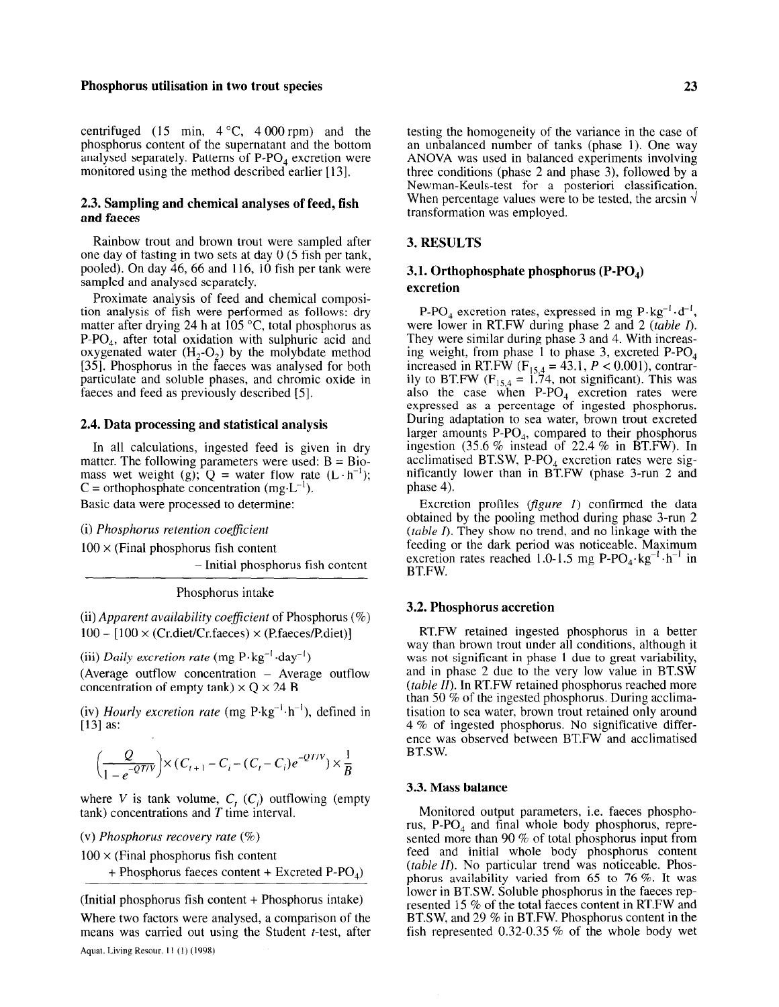# Phosphorus utilisation in two trout species 23

centrifuged (15 min,  $4^{\circ}$ C,  $4\,000$  rpm) and the phosphorus content of the supernatant and the bottom analysed separately. Patterns of  $P-PO<sub>4</sub>$  excretion were monitored using the method described earlier [13].

# 2.3. Sampling and chemical analyses of feed, fish and faeces

Rainbow trout and brown trout were sampled after one day of fasting in two sets at day 0 (5 fish per tank, pooled). On day 46, 66 and 116, 10 fish per tank were sampled and analysed separately.

Proximate analysis of feed and chemical composition analysis of fish were performed as follows: dry matter after drying 24 h at 105  $^{\circ}$ C, total phosphorus as P-PO,, after total oxidation with sulphuric acid and oxygenated water  $(H_2-O_2)$  by the molybdate method [35]. Phosphorus in the faeces was analysed for both particulate and soluble phases, and chromic oxide in faeces and feed as previously described [5].

# 2.4. Data processing and statistical analysis

In all calculations, ingested feed is given in dry matter. The following parameters were used:  $B = Bio$ mass wet weight (g);  $Q =$  water flow rate  $(L \cdot h^{-1})$ ;  $C =$  orthophosphate concentration (mg $\cdot L^{-1}$ ). Basic data were processed to determine:

(i) Phosphorus retention coefficient

 $100 \times$  (Final phosphorus fish content

- Initial phosphorus fish content

Phosphorus intake

(ii) Apparent availability coefficient of Phosphorus  $(\%)$  $100 - [100 \times (Cr.diet/Cr.faeces) \times (P.faeces/P.diet)]$ 

(iii) Daily excretion rate (mg  $P \cdot kg^{-1} \cdot day^{-1}$ ) (Average outflow concentration  $-$  Average outflow concentration of empty tank)  $\times$  Q  $\times$  24 B

(iv) Hourly excretion rate (mg  $P \cdot kg^{-1} \cdot h^{-1}$ ), defined in [13] as:

$$
\left(\frac{Q}{1 - e^{-QTV}}\right) \times (C_{t+1} - C_i - (C_t - C_i)e^{-QTV}) \times \frac{1}{B}
$$

 $\mathcal{A}$  is taking volume,  $\mathcal{A}$  (expedience of  $\mathcal{A}$ ) outflowing (e.g.,  $\mathcal{A}$ ) where  $\gamma$  is tank volume,  $C_f$   $(C_i)$  buth

(v) Phosphorus recovery rate  $(\%)$ 

 $100 \times$  (Final phosphorus fish content

+ Phosphorus faeces content + Excreted  $P-PO<sub>4</sub>$ )

(Initial phosphorus fish content + Phosphorus intake)

 $W_{\text{max}}$  for the analysed, a comparison of the analysed, a comparison of the comparison of the comparison of the second where two factors were analysed, a comparison of the

testing the homogeneity of the variance in the case of an unbalanced number of tanks (phase 1). One way ANOVA was used in balanced experiments involving three conditions (phase 2 and phase 3), followed by a Newman-Keuls-test for a posteriori classification. When percentage values were to be tested, the arcsin  $\sqrt{ }$ transformation was employed.

# 3. RESULTS

# 3.1. Orthophosphate phosphorus  $( \text{P-PO}_4)$ excretion

P-PO<sub>4</sub> excretion rates, expressed in mg  $P \cdot kg^{-1} \cdot d^{-1}$ , were lower in RT.FW during phase 2 and 2 (table I). They were similar during phase 3 and 4. With increasing weight, from phase 1 to phase 3, excreted P-PO, increased in RT.FW  $(F_{\text{ref}} = 43.1, P < 0.001)$ , contrarily to BT.FW  $(F_{\text{tot}}) = \frac{1}{4}$  not significant). This was also the case when P-PO, excretion rates were expressed as a percentage of ingested phosphorus. During adaptation to sea water, brown trout excreted larger amounts  $P-PO_4$ , compared to their phosphorus ingestion  $(35.6\%$  instead of 22.4 % in BT.FW). In acclimatised BT.SW, P-PO $_A$  excretion rates were significantly lower than in BT.FW (phase 3-run 2 and phase 4).

Excretion profiles (*figure 1*) confirmed the data obtained by the pooling method during phase 3-run 2  $(table I)$ . They show no trend, and no linkage with the feeding or the dark period was noticeable. Maximum excretion rates reached 1.0-1.5 mg P-PO<sub>4</sub>·kg<sup>-1</sup>·h<sup>-1</sup> in BT.FW.

# 3.2. Phosphorus accretion

RT.FW retained ingested phosphorus in a better way than brown trout under all conditions, although it was not significant in phase 1 due to great variability, and in phase 2 due to the very low value in BTSW  $(table II)$ . In RT.FW retained phosphorus reached more than 50 % of the ingested phosphorus. During acclimatisation to sea water, brown trout retained only around 4 % of ingested phosphorus. No significative difference was observed between BT.FW and acclimatised CIILE WA

#### 3.3. Mass balance

Monitored output parameters, i.e. faeces phosphoruonnoicu output parameters, r.e. raeces phosphorus, rus,  $P-PO<sub>4</sub>$  and final whole body phosphorus, represented more than 90  $%$  of total phosphorus input from feed and initial whole body phosphorus content  $(table II)$ . No particular trend was noticeable. Phosphorus availability varied from 65 to 76 %. It was lower in BT.SW. Soluble phosphorus in the faeces represented 15  $%$  of the total faeces content in RT.FW and BT.SW, and 29 % in BT.FW. Phosphorus content in the fish represented 0.32-0.35 % of the whole body wet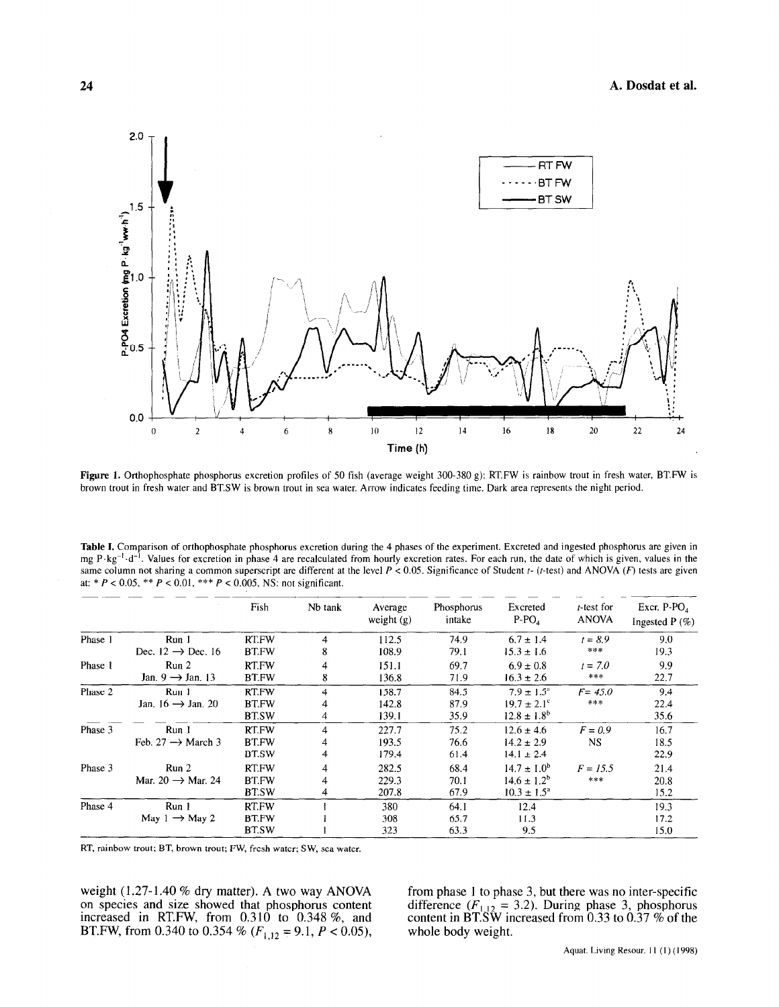

Figure 1. Orthophosphate phosphorus excretion profiles of 50 fish (average weight 300-380 g): RT.FW is rainbow trout in fresh water, BT.FW is brown trout in fresh water and BTSW is brown trout in sea water. Arrow indicates feeding time. Dark area represents the night period.

Table I. Comparison of orthophosphate phosphorus excretion during the 4 phases of the experiment. Excreted and ingested phosphorus are given in mg P $\cdot$ kg<sup>-1</sup> $\cdot$ d<sup>-1</sup>. Values for excretion in phase 4 are recalculated from hourly excretion rates. For each run, the date of which is given, values in the same column not sharing a common superscript are different at the level  $P < 0.05$ . Significance of Student  $t$ - ( $t$ -test) and ANOVA ( $F$ ) tests are given at: \*  $P < 0.05$ , \*\*  $P < 0.01$ , \*\*\*  $P < 0.005$ , NS: not significant.

|         |                               | Fish         | Nb tank | Average<br>weight $(g)$ | Phosphorus<br>intake | Excreted<br>$P-POA$    | <i>t</i> -test for<br><b>ANOVA</b> | Excr. $P-PO4$<br>Ingested $P(\%)$ |
|---------|-------------------------------|--------------|---------|-------------------------|----------------------|------------------------|------------------------------------|-----------------------------------|
| Phase 1 | Run <sub>1</sub>              | <b>RT.FW</b> | 4       | 112.5                   | 74.9                 | $6.7 \pm 1.4$          | $t = 8.9$                          | 9.0                               |
|         | Dec. $12 \rightarrow$ Dec. 16 | <b>BT.FW</b> | 8       | 108.9                   | 79.1                 | $15.3 \pm 1.6$         | ***                                | 19.3                              |
| Phase 1 | Run 2                         | RT.FW        |         | 151.1                   | 69.7                 | $6.9 \pm 0.8$          | $t = 7.0$                          | 9.9                               |
|         | Jan. $9 \rightarrow$ Jan. 13  | <b>BT.FW</b> | 8       | 136.8                   | 71.9                 | $16.3 \pm 2.6$         | ***                                | 22,7                              |
| Phase 2 | Run 1                         | RT.FW        | 4       | 158.7                   | 84.5                 | $7.9 \pm 1.5^{\circ}$  | $F = 45.0$                         | 9.4                               |
|         | Jan. $16 \rightarrow$ Jan. 20 | <b>BT.FW</b> |         | 142.8                   | 87.9                 | $19.7 \pm 2.1^{\circ}$ | ***                                | 22.4                              |
|         |                               | <b>BT.SW</b> | 4       | 139.1                   | 35.9                 | $12.8 \pm 1.8^b$       |                                    | 35.6                              |
| Phase 3 | Run 1                         | RT.FW        | 4       | 227.7                   | 75.2                 | $12.6 \pm 4.6$         | $F = 0.9$                          | 16.7                              |
|         | Feb. 27 $\rightarrow$ March 3 | <b>BT.FW</b> |         | 193.5                   | 76.6                 | $14.2 \pm 2.9$         | <b>NS</b>                          | 18.5                              |
|         |                               | <b>BT.SW</b> | 4       | 179.4                   | 61.4                 | $14.1 \pm 2.4$         |                                    | 22.9                              |
| Phase 3 | Run <sub>2</sub>              | RT.FW        | 4       | 282.5                   | 68.4                 | $14.7 \pm 1.0^b$       | $F = 15.5$                         | 21.4                              |
|         | Mar. $20 \rightarrow$ Mar. 24 | <b>BT.FW</b> |         | 229.3                   | 70.1                 | $14.6 \pm 1.2^b$       | ***                                | 20.8                              |
|         |                               | <b>BT.SW</b> | 4       | 207.8                   | 67.9                 | $10.3 \pm 1.5^a$       |                                    | 15.2                              |
| Phase 4 | Run <sub>1</sub>              | RT.FW        |         | 380                     | 64.1                 | 12.4                   |                                    | 19.3                              |
|         | May $1 \rightarrow$ May 2     | <b>BT.FW</b> |         | 308                     | 65.7                 | 11.3                   |                                    | 17.2                              |
|         |                               | <b>BT.SW</b> |         | 323                     | 63.3                 | 9.5                    |                                    | 15.0                              |

RT, rainbow trout; BT, brown trout; FW, fresh water; SW, sea water.

weight  $(1.27-1.40\%$  dry matter). A two way ANOVA on species and size showed that phosphorus content increased in RT.FW, from 0.310 to 0.348 %, and<br>BT.FW, from 0.340 to 0.354 % ( $F_{1,12} = 9.1$ ,  $P < 0.05$ ),

we interference of the matter  $\alpha$  to phase 1 to phase 3, but there was no inter-specific there was no inter-specific from phase  $\frac{1}{2}$  to phase 3, but there was no inter-specific content in  $\sum_{i=1}^{\infty}$   $\sum_{i=1}^{\infty}$  5.2). During phase 5, phosphorus content in  $\mathbf{b}$  i.s we n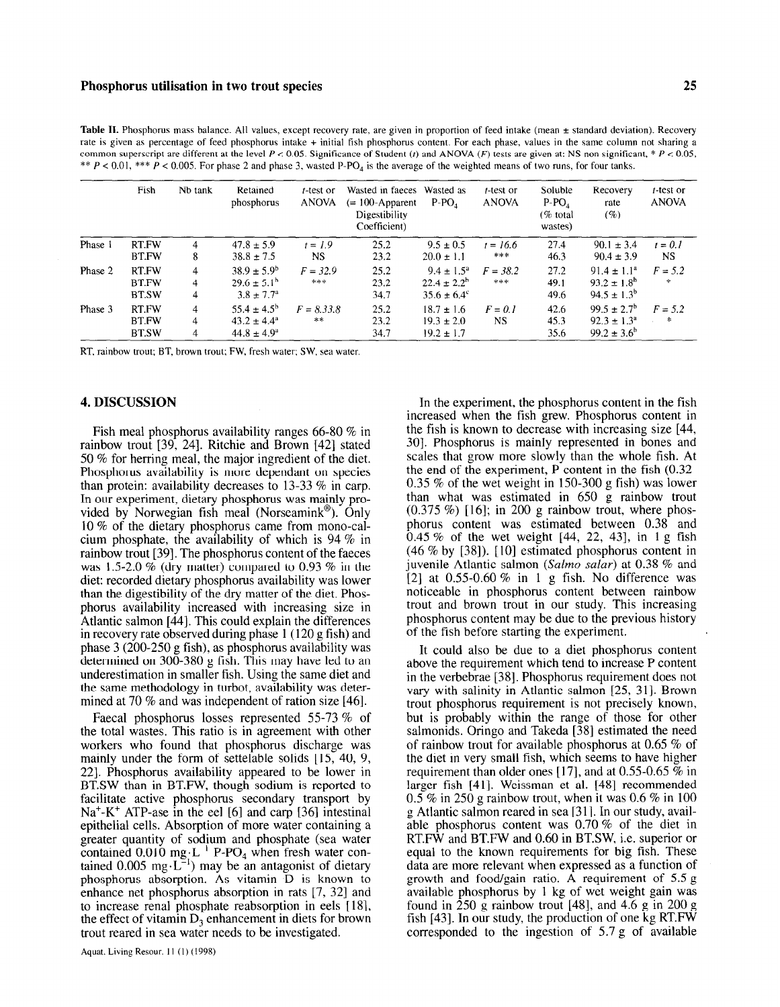Table II. Phosphorus mass balance. All values, except recovery rate, are given in proportion of feed intake (mean ± standard deviation). Recovery rate is given as percentage of feed phosphorus intake + initial fish phosphorus content. For each phase, values in the same column not sharing a common superscript are different at the level  $P < 0.05$ . Significance of Student (t) and ANOVA (F) tests are given at: NS non significant, \*  $P < 0.05$ , \*\*  $P < 0.01$ , \*\*\*  $P < 0.005$ . For phase 2 and phase 3, wasted P-PO<sub>4</sub> is the average of the weighted means of two runs, for four tanks.

|         | Fish                                  | Nb tank                  | Retained<br>phosphorus                                               | $t$ -test or<br><b>ANOVA</b> | Wasted in faeces Wasted as<br>$(= 100$ -Apparent<br>Digestibility<br>Coefficient) | $P-PO$                                                              | t-test or<br><b>ANOVA</b> | Soluble<br>$P-PO4$<br>(% total)<br>wastes) | Recovery<br>rate<br>(%)                                              | $t$ -test or<br><b>ANOVA</b> |
|---------|---------------------------------------|--------------------------|----------------------------------------------------------------------|------------------------------|-----------------------------------------------------------------------------------|---------------------------------------------------------------------|---------------------------|--------------------------------------------|----------------------------------------------------------------------|------------------------------|
| Phase 1 | RT.FW<br><b>BT.FW</b>                 | 4<br>8                   | $47.8 \pm 5.9$<br>$38.8 \pm 7.5$                                     | $t = 1.9$<br>NS.             | 25.2<br>23.2                                                                      | $9.5 \pm 0.5$<br>$20.0 \pm 1.1$                                     | $t = 16.6$<br>***         | 27.4<br>46.3                               | $90.1 \pm 3.4$<br>$90.4 \pm 3.9$                                     | $t = 0.1$<br>NS.             |
| Phase 2 | RT.FW<br><b>BT.FW</b><br><b>BT.SW</b> | 4<br>4<br>4              | $38.9 \pm 5.9^{\circ}$<br>$29.6 \pm 5.1^b$<br>$3.8 \pm 7.7^{\circ}$  | $F = 32.9$<br>***            | 25.2<br>23.2<br>34.7                                                              | $9.4 \pm 1.5^{\circ}$<br>$22.4 \pm 2.2^b$<br>$35.6 \pm 6.4^{\circ}$ | $F = 38.2$<br>***         | 27.2<br>49.1<br>49.6                       | $91.4 \pm 1.1^a$<br>$93.2 \pm 1.8^6$<br>$94.5 \pm 1.3^{\circ}$       | $F = 5.2$<br>*               |
| Phase 3 | RT.FW<br>BT.FW<br><b>BT.SW</b>        | $\overline{4}$<br>4<br>4 | $55.4 \pm 4.5^{\rm b}$<br>$43.2 \pm 4.4^a$<br>$44.8 \pm 4.9^{\circ}$ | $F = 8.33.8$<br>**           | 25.2<br>23.2<br>34.7                                                              | $18.7 \pm 1.6$<br>$19.3 \pm 2.0$<br>$19.2 \pm 1.7$                  | $F = 0.1$<br><b>NS</b>    | 42.6<br>45.3<br>35.6                       | $99.5 \pm 2.7^{\circ}$<br>$92.3 \pm 1.3^a$<br>$99.2 \pm 3.6^{\circ}$ | $F = 5.2$<br>*               |

RT, rainbow trout; BT, brown trout; FW, fresh water; SW, sea water.

#### 4. DISCUSSION

Fish meal phosphorus availability ranges 66-80 % in rainbow trout [39, 241. Ritchie and Brown [42] stated 50 % for herring meal, the major ingredient of the diet. Phosphorus availability is more dependant on species than protein: availability decreases to 13-33 % in carp. In our experiment, dietary phosphorus was mainly provided by Norwegian fish meal (Norseamink $^{\circledR}$ ). Only 10 % of the dietary phosphorus came from mono-calcium phosphate, the availability of which is  $94\%$  in rainbow trout [39]. The phosphorus content of the faeces was 1.5-2.0 % (dry matter) compared to 0.93 % in the diet: recorded dietary phosphorus availability was lower than the digestibility of the dry matter of the diet. Phosphorus availability increased with increasing size in Atlantic salmon [44]. This could explain the differences in recovery rate observed during phase 1 (120 g fish) and phase 3 (200-250 g fish), as phosphorus availability was determined on 300-380 g fish. This may have led to an underestimation in smaller fish. Using the same diet and the same methodology in turbot, availability was determined at 70 % and was independent of ration size [46].

Faecal phosphorus losses represented 55-73 % of the total wastes. This ratio is in agreement with other we was wasted. This fails is in agreement with other workers who round that prospherus discharge was  $221$ . Phosphorus availability appeared to be lower in  $22$ . FHOSPHOLUS availability appeared to be lower in BT.SW than in BT.FW, though sodium is reported to facilitate active phosphorus secondary transport by  $Na<sup>+</sup>-K<sup>+</sup> ATP-ase$  in the eel [6] and carp [36] intestinal epithelial cells. Absorption of more water containing a greater quantity of sodium and phosphate (sea water greater quantity of sociality and prosphate (sea water comanica 0.010 mg·L $r = V_4$  when nest water con $p_{\text{max}}$  be an amagement of dictary phosphorus absorption. As vitamin D is known to enhance net phosphorus absorption in rats  $[7, 32]$  and to increase renal phosphate reabsorption in eels [18], the effect of vitamin  $D_3$  enhancement in diets for brown trout reared in sea water needs to be investigated.

In the experiment, the phosphorus content in the fish increased when the fish grew. Phosphorus content in the fish is known to decrease with increasing size [44, 301. Phosphorus is mainly represented in bones and scales that grow more slowly than the whole fish. At the end of the experiment, P content in the fish (0.32- 0.35 % of the wet weight in 150-300 g fish) was lower than what was estimated in 650 g rainbow trout  $(0.375 \%)$  [16]; in 200 g rainbow trout, where phosphorus content was estimated between 0.38 and  $0.45\%$  of the wet weight  $[44, 22, 43]$ , in 1 g fish  $(46\%$  by [38]). [10] estimated phosphorus content in juvenile Atlantic salmon (Salmo salar) at 0.38  $%$  and [2] at 0.55-0.60 % in 1 g fish. No difference was noticeable in phosphorus content between rainbow trout and brown trout in our study. This increasing phosphorus content may be due to the previous history of the fish before starting the experiment.

It could also be due to a diet phosphorus content above the requirement which tend to increase P content in the verbebrae [38]. Phosphorus requirement does not vary with salinity in Atlantic salmon [25, 311. Brown trout phosphorus requirement is not precisely known, but is probably within the range of those for other salmonids. Oringo and Takeda [38] estimated the need of rainbow trout for available phosphorus at 0.65 % of the diet in very small fish, which seems to have higher requirement than older ones [17], and at  $0.55{\text -}0.65\%$  in larger fish [41]. Weissman et al. [48] recommended raiger iisn  $[1]$ . Weissinan et al.  $[10]$  recommended  $\frac{1}{2}$  70 in 250 g ramoow trout, when it was 0.0 70 in root g Atlantic salmon reared in sea [31]. In our study, available phosphorus content was  $0.70 \%$  of the diet in able phosphorus coment was  $0.70$  / $\theta$  or the dict in Equal to the known requirements for big  $f_{\text{obs}}$ . These equal to the known requirements for big fish. These data are more relevant when expressed as a function of growth and food/gain ratio. A requirement of  $5.5 g$ available phosphorus by 1 kg of wet weight gain was found in  $\overline{250}$  g rainbow trout [48], and 4.6 g in 200 g fish [43]. In our study, the production of one kg RT.FW corresponded to the ingestion of 5.7 g of available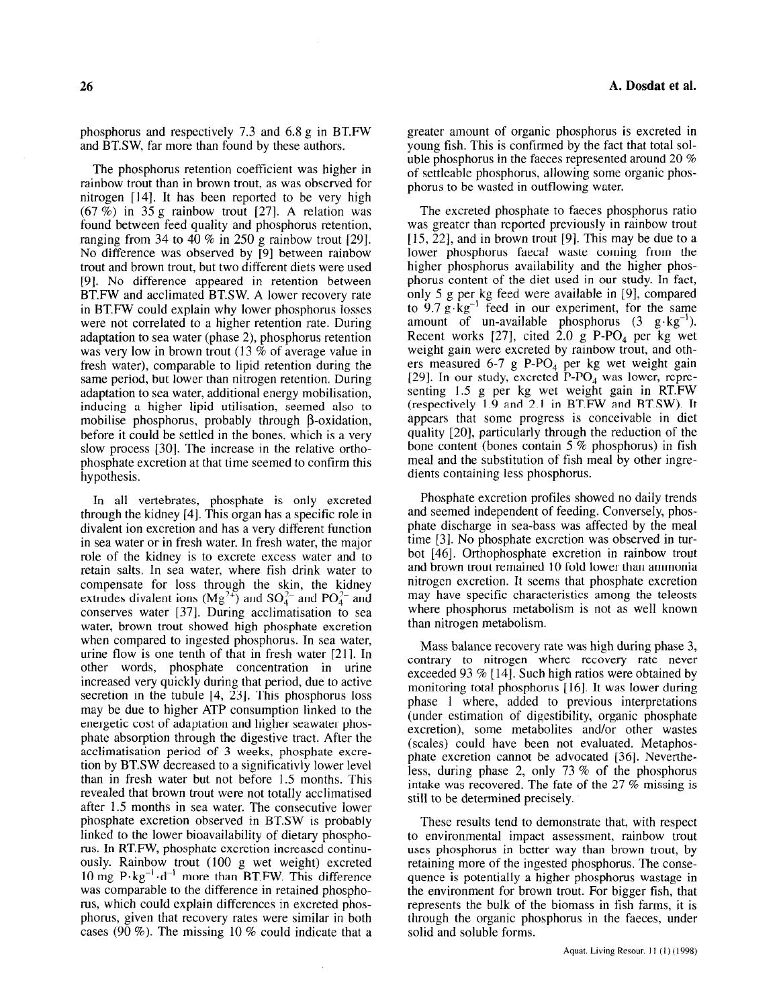phosphorus and respectively 7.3 and 6.8 g in BT.FW and BT.SW, far more than found by these authors.

The phosphorus retention coefficient was higher in rainbow trout than in brown trout, as was observed for nitrogen [ 141. It has been reported to be very high  $(67 \%)$  in 35 g rainbow trout [27]. A relation was found between feed quality and phosphorus retention, ranging from 34 to 40  $\%$  in 250 g rainbow trout [29]. No difference was observed by [9] between rainbow trout and brown trout, but two different diets were used [9]. No difference appeared in retention between BT.FW and acclimated BT.SW. A lower recovery rate in BT.FW could explain why lower phosphorus losses were not correlated to a higher retention rate. During adaptation to sea water (phase 2), phosphorus retention was very low in brown trout (13 % of average value in fresh water), comparable to lipid retention during the same period, but lower than nitrogen retention. During adaptation to sea water, additional energy mobilisation, inducing a higher lipid utilisation, seemed also to mobilise phosphorus, probably through  $\beta$ -oxidation, before it could be settled in the bones, which is a very slow process [30]. The increase in the relative orthophosphate excretion at that time seemed to confirm this hypothesis.

In all vertebrates, phosphate is only excreted through the kidney [4]. This organ has a specific role in divalent ion excretion and has a very different function in sea water or in fresh water. In fresh water, the major role of the kidney is to excrete excess water and to retain salts. In sea water, where fish drink water to compensate for loss through the skin, the kidney extrudes divalent ions  $(M\alpha^{2+})$  and  $S\Omega^{2-}$  and  $D\Omega^{2-}$  and conserves water [37]. During acclimatisation to sea water, brown trout showed high phosphate excretion when compared to ingested phosphorus. In sea water, urine flow is one tenth of that in fresh water [21]. In other words, phosphate concentration in urine increased very quickly during that period, due to active secretion in the tubule  $[4, 23]$ . This phosphorus loss may be due to higher ATP consumption linked to the energetic cost of adaptation and higher seawater phosphate absorption through the digestive tract. After the phate absorption unbugh the digestric tract. After the acclimatisation period of 3 weeks, phosphate excretion by BT.SW decreased to a significativly lower level than in facts water but not before  $1.5$  months. This  $r_{\rm{max}}$  and the total brown trout were not total density and  $r_{\rm{max}}$ revealed that brown trout were not totally acclimatised. after 1.5 months in sea water. The consecutive lower phosphate excretion observed in BT.SW is probably linked to the lower bioavailability of dietary phosphorus. In RT.FW, phosphate excretion increased continuously. Rainbow trout  $(100 \text{ g wet weight})$  excreted  $10^{10}$  mg P.K. and P.M. Then  $P_{\text{H}}$  means that  $P_{\text{H}}$  means the  $P_{\text{H}}$ TO  $\ln g$  r  $\log$  d  $\ln \ln g$  in retain  $\ln g$  r  $\ln g$  in retains  $\ln g$ was comparable to the difference in retained phosphorus, which could explain differences in excreted phosphorus, given that recovery rates were similar in both cases  $(90 \%)$ . The missing 10 % could indicate that a

greater amount of organic phosphorus is excreted in young fish. This is confirmed by the fact that total soluble phosphorus in the faeces represented around 20 % of settleable phosphorus, allowing some organic phosphorus to be wasted in outflowing water.

The excreted phosphate to faeces phosphorus ratio was greater than reported previously in rainbow trout  $[15, 22]$ , and in brown trout  $[9]$ . This may be due to a lower phosphorus faecal waste coming from the higher phosphorus availability and the higher phosphorus content of the diet used in our study. In fact, only 5 g per kg feed were available in [9], compared to  $9.7 g \text{ kg}^{-1}$  feed in our experiment, for the same amount of un-available phosphorus  $(3 \times 8 \cdot 8)^{-1}$ . Recent works  $[27]$ , cited  $2.0$  g P-PO, per kg wet weight gain were excreted by rainbow trout, and others measured 6-7 g P-PO<sub>4</sub> per kg wet weight gain [29]. In our study, excreted  $\overline{P-PO_4}$  was lower, representing 1.5 g per kg wet weight gain in RT.FW (respectively 1.9 and 2.1 in BT.FW and BT.SW). It appears that some progress is conceivable in diet quality [20], particularly through the reduction of the bone content (bones contain 5 % phosphorus) in fish meal and the substitution of fish meal by other ingredients containing less phosphorus.

Phosphate excretion profiles showed no daily trends and seemed independent of feeding. Conversely, phosphate discharge in sea-bass was affected by the meal time [3]. No phosphate excretion was observed in turbot [46]. Orthophosphate excretion in rainbow trout and brown trout remained 10 fold lower than ammonia nitrogen excretion. It seems that phosphate excretion may have specific characteristics among the teleosts where phosphorus metabolism is not as well known than nitrogen metabolism.

Mass balance recovery rate was high during phase 3, contrary to nitrogen where recovery rate never exceeded 93 % [ 141. Such high ratios were obtained by monitoring total phosphorus [ 161. It was lower during phase 1 where, added to previous interpretations (under estimation of digestibility, organic phosphate excretion), some metabolites and/or other wastes excretion), some metabolites and/or other wastes (scales) could have been not evaluated. Metaphosphate excretion cannot be advocated [36]. Neverthephate exercitor cannot be advocated [50]. Heverting  $\frac{1}{2}$  recovered. The fact of the prospheres intake was recovered. The fate of the 27  $%$  missing is still to be determined precisely.

These results tend to demonstrate that, with respect these results iend to demonstrate that, with respect  $\frac{1}{2}$  chynomichial impact assessment, rambow trout uses phosphorus in better way than brown trout, by retaining more of the ingested phosphorus. The consequence is potentially a higher phosphorus wastage in the environment for brown trout. For bigger fish, that represents the bulk of the biomass in fish farms, it is through the organic phosphorus in the faeces, under solid and soluble forms.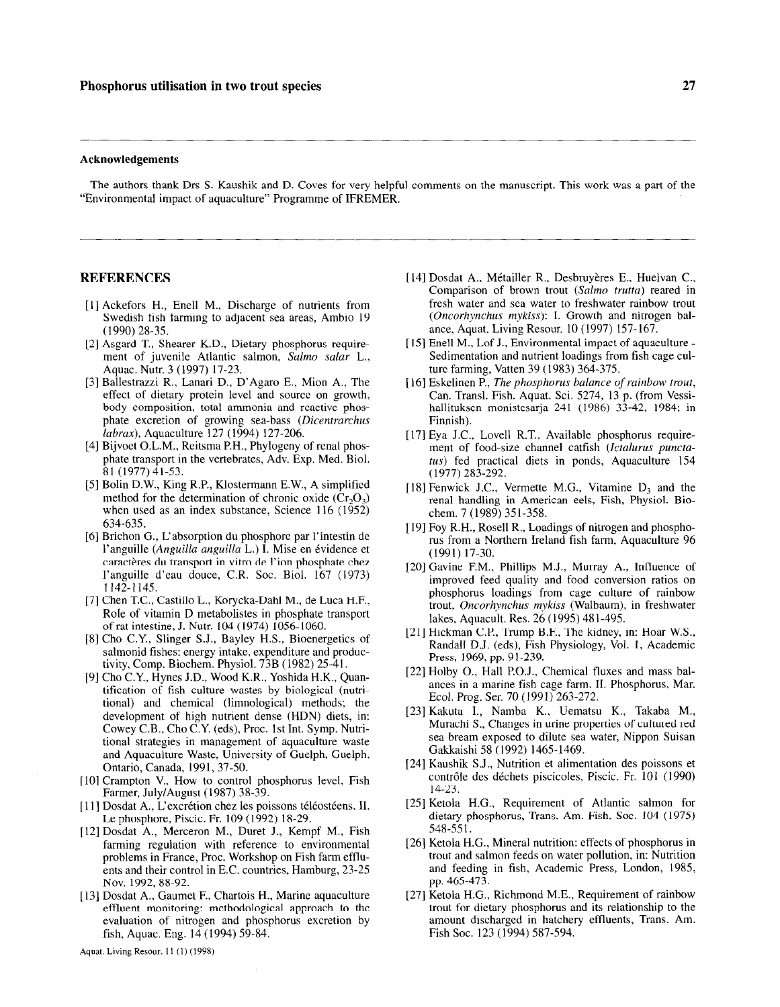#### Acknowledgements

The authors thank Drs S. Kaushik and D. Coves for very helpful comments on the manuscript. This work was a part of the "Environmental impact of aquaculture" Programme of IFREMER.

#### REFERENCES

- [1] Ackefors H., Enell M., Discharge of nutrients from Swedish fish farming to adjacent sea areas, Ambio 19 (1990) 28-35.
- [2] Asgard T., Shearer K.D., Dietary phosphorus requirement of juvenile Atlantic salmon, Salmo salar L., Aquac. Nutr. 3 (1997) 17-23.
- [3] Ballestrazzi R., Lanari D., D'Agaro E., Mion A., The effect of dietary protein level and source on growth, body composition, total ammonia and reactive phosphate excretion of growing sea-bass (Dicentrarchus labrax), Aquaculture 127 (1994) 127-206.
- [4] Bijvoet O.L.M., Reitsma P.H., Phylogeny of renal phosphate transport in the vertebrates, Adv. Exp. Med. Biol. 81 (1977)41-53.
- [5] Bolin D.W., King R.P., Klostermann E.W., A simplified method for the determination of chronic oxide  $(Cr_2O_3)$ when used as an index substance, Science  $116$  ( $1952$ ) 634-635.
- [6] Brichon G., L'absorption du phosphore par l'intestin de l'anguille (Anguilla anguilla L.) I. Mise en evidence et caractères du transport in vitro de l'ion phosphate chez l'anguille d'eau douce, C.R. Soc. Biol. 167 (1973) 1142-I 145.
- [7] Chen T.C., Castillo L., Korycka-Dahl M., de Luca H.F., Role of vitamin D metabolistes in phosphate transport of rat intestine, J. Nutr. 104 (1974) 1056-1060.
- [8] Cho C.Y., Slinger S.J., Bayley H.S., Bioenergetics of salmonid fishes: energy intake, expenditure and productivity, Comp. Biochem. Physiol. 73B (1982) 25-41.
- [9] Cho C.Y., Hynes J.D., Wood K.R., Yoshida H.K., Quantification of fish culture wastes by biological (nutritional) and chemical (limnological) methods; the development of high nutrient dense (HDN) diets, in: Cowey C.B., Cho C.Y. (eds), Proc. 1st Int. Symp. Nutritional strategies in management of aquaculture waste and Aquaculture Waste, University of Guelph, Guelph, Ontario, Canada, 1991, 37-50.
- $\frac{1}{2}$  Charlo, Canada,  $\frac{1}{2}$ ,  $\frac{1}{2}$ ,  $\frac{1}{2}$ ,  $\frac{1}{2}$ ,  $\frac{1}{2}$ ,  $\frac{1}{2}$ ,  $\frac{1}{2}$ ,  $\frac{1}{2}$ ,  $\frac{1}{2}$  $F_{\text{F}}$   $\frac{1}{4}$   $\frac{1}{4}$   $\frac{1}{4}$   $\frac{1}{4}$   $\frac{1}{4}$   $\frac{1}{4}$   $\frac{1}{4}$   $\frac{1}{4}$   $\frac{1}{4}$   $\frac{1}{4}$   $\frac{1}{4}$   $\frac{1}{4}$   $\frac{1}{4}$   $\frac{1}{4}$   $\frac{1}{4}$   $\frac{1}{4}$   $\frac{1}{4}$   $\frac{1}{4}$   $\frac{1}{4}$   $\frac{1}{4}$   $\frac{1}{4}$  Farmer, July/August (1987) 38-39.<br>[11] Dosdat A., L'excrétion chez les poissons téléostéens. II.
- Le phosphore, Piscic. Fr. 109 (1992) 18-29.  $\frac{1}{2}$  Deprosphore, Fiscre, Fi, 102 (1222) 10-22.
- $\mu_{\text{total}}$   $\mu_{\text{total}}$  regulation with reference to  $\mu_{\text{total}}$  and  $\mu_{\text{total}}$ partiting regulation with reference to environment  $\mu$  obtents in France, Hoc. workshop on Fish farm chines ents and their control in E.C. countries, Hamburg, 23-25<br>Nov. 1992, 88-92.
- evaluation of nitrogen and phosphorus excretion by amount discharged in hatcher fish, Aquac. Eng. 14 (1994) 59-84. Fish Soc. 123 (1994) 587-594.
- [14] Dosdat A., Métailler R., Desbruyères E., Huelvan C., Comparison of brown trout (Salmo trutta) reared in fresh water and sea water to freshwater rainbow trout (Oncorhynchus mykiss): I. Growth and nitrogen balance, Aquat. Living Resour. 10 (1997) 157- 167.
- [15] Enell M., Lof J., Environmental impact of aquaculture -Sedimentation and nutrient loadings from fish cage culture farming, Vatten 39 (1983) 364-375.
- [16] Eskelinen P., The phosphorus balance of rainbow trout, Can. Transl. Fish. Aquat. Sci. 5274, 13 p. (from Vessihallituksen monistesarja 241 (1986) 33-42, 1984; in Finnish).
- [ 171 Eya J.C., Love11 R.T., Available phosphorus requirement of food-size channel catfish (Ictalurus punctatus) fed practical diets in ponds, Aquaculture 154 (1977) 283-292.
- [18] Fenwick J.C., Vermette M.G., Vitamine  $D_3$  and the renal handling in American eels, Fish, Physiol. Biochem. 7 (1989) 351-358.
- [19] Foy R.H., Rosell R., Loadings of nitrogen and phosphorus from a Northern Ireland fish farm, Aquaculture 96 (1991) 17-30.
- [20] Gavine F.M., Phillips M.J., Murray A., Influence of improved feed quality and food conversion ratios on phosphorus loadings from cage culture of rainbow trout, Oncorhynchus mykiss (Walbaum), in freshwater lakes, Aquacult. Res. 26 (1995) 481-495.
- [21] Hickman C.P., Trump B.F., The kidney, in: Hoar W.S., Randall D.J. (eds), Fish Physiology, Vol. 1, Academic Press, 1969, pp. 91-239.
- [22] Holby O., Hall P.O.J., Chemical fluxes and mass balances in a marine fish cage farm. II. Phosphorus, Mar. Ecol. Prog. Ser. 70 (1991) 263-272.
- [23] Kakuta I., Namba K., Uematsu K., Takaba M., Murachi S., Changes in urine properties of cultured red sea bream exposed to dilute sea water, Nippon Suisan Gakkaishi 58 (1992) 1465-1469.
- [24] Kaushik S.J., Nutrition et alimentation des poissons et contrôle des déchets piscicoles, Piscic. Fr. 101 (1990) 14-23.
- [25] Ketola H.G., Requirement of Atlantic salmon for dietary phosphorus, Trans. Am. Fish. Sot. 104 (1975)  $\frac{1}{2}$ .  $\frac{1}{2}$ .  $\frac{1}{2}$ .  $\frac{1}{2}$ . [26] Ketola H.G., Mineral nutrition: effects of phosphorus in
- trout and salmon feature prospection  $\frac{1}{2}$  and saturon feeds on water potention, in Frequencies and feeding in fish, Academic Press, London, 1985, pp. 465-473.
- [27] Ketola H.G., Richmond M.E., Requirement of rainbow [13] Dosdat A., Gaumet F., Chartois H., Marine aquaculture [27] Ketola H.G., Richmond M.E., Requirement of rainbow<br>effluent monitoring: methodological approach to the trout for dietary phosphorus and its relationship to th effluent monitoring: methodological approach to the transference in hatchery effluents, Trans. Am.<br>
evaluation of nitrogen and phosphorus excretion by amount discharged in hatchery effluents, Trans. Am.